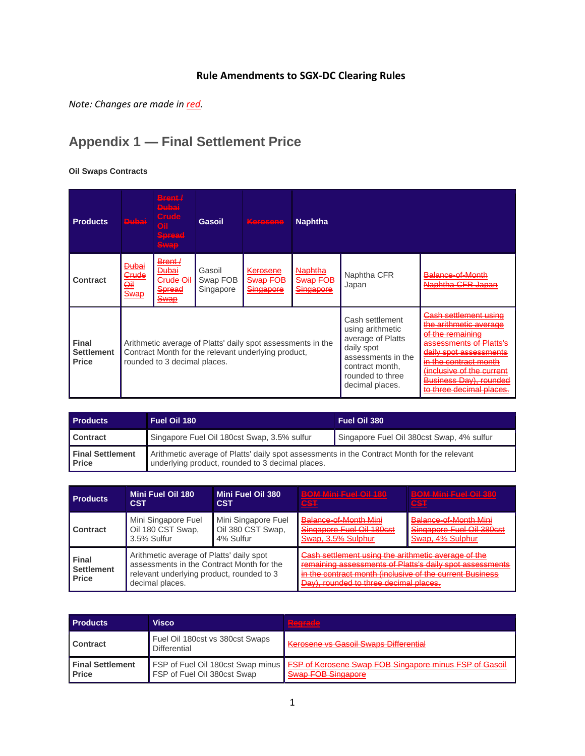## **Rule Amendments to SGX-DC Clearing Rules**

*Note: Changes are made in red.*

# **Appendix 1 — Final Settlement Price**

**Oil Swaps Contracts**

| <b>Products</b>                                   | <b>Dubai</b>                                                                                                                                       | Brent /<br><del>Dubai</del><br><b>Grude</b><br>HQ.<br>Spread<br><b>Swap</b>                        | <b>Gasoil</b>                   | Kerosene                                                                                                                                               | <b>Naphtha</b>                                                                                                                                                                                                                                                                             |                      |                                       |
|---------------------------------------------------|----------------------------------------------------------------------------------------------------------------------------------------------------|----------------------------------------------------------------------------------------------------|---------------------------------|--------------------------------------------------------------------------------------------------------------------------------------------------------|--------------------------------------------------------------------------------------------------------------------------------------------------------------------------------------------------------------------------------------------------------------------------------------------|----------------------|---------------------------------------|
| <b>Contract</b>                                   | <del>Dubai</del><br>Crude<br><u>oil</u><br>Swap                                                                                                    | <del>Brent /</del><br><del>Dubai</del><br><del>Crude Oil</del><br><b>Spread</b><br><del>Swap</del> | Gasoil<br>Swap FOB<br>Singapore | <del>Kerosene</del><br>Swap FOB<br>Singapore                                                                                                           | <del>Naphtha</del><br>Swap FOB<br><u>Singapore</u>                                                                                                                                                                                                                                         | Naphtha CFR<br>Japan | Balance-of-Month<br>Naphtha CFR Japan |
| <b>Final</b><br><b>Settlement</b><br><b>Price</b> | Arithmetic average of Platts' daily spot assessments in the<br>Contract Month for the relevant underlying product,<br>rounded to 3 decimal places. |                                                                                                    |                                 | Cash settlement<br>using arithmetic<br>average of Platts<br>daily spot<br>assessments in the<br>contract month.<br>rounded to three<br>decimal places. | <del>Cash settlement using</del><br>the arithmetic average<br>of the remaining<br>assessments of Platts's<br>daily spot assessments<br><del>in the contract month</del><br><del>(inclusive of the current</del> )<br><u> Business Day), rounded</u><br><del>to three decimal places.</del> |                      |                                       |

| <b>Products</b>                         | Fuel Oil 180                                                                                                                                    | Fuel Oil 380                              |
|-----------------------------------------|-------------------------------------------------------------------------------------------------------------------------------------------------|-------------------------------------------|
| <b>Contract</b>                         | Singapore Fuel Oil 180cst Swap, 3.5% sulfur                                                                                                     | Singapore Fuel Oil 380cst Swap, 4% sulfur |
| <b>Final Settlement</b><br><b>Price</b> | Arithmetic average of Platts' daily spot assessments in the Contract Month for the relevant<br>underlying product, rounded to 3 decimal places. |                                           |

| <b>Products</b>                                   | Mini Fuel Oil 180                                                                                                                                     | Mini Fuel Oil 380   | <b>BOM Mini Fuel Oil 180</b>                                                                                                                                                                                          | <b>BOM Mini Eust Oil 380</b> |
|---------------------------------------------------|-------------------------------------------------------------------------------------------------------------------------------------------------------|---------------------|-----------------------------------------------------------------------------------------------------------------------------------------------------------------------------------------------------------------------|------------------------------|
|                                                   | <b>CST</b>                                                                                                                                            | <b>CST</b>          | CST                                                                                                                                                                                                                   | <b>CST</b>                   |
| Contract                                          | Mini Singapore Fuel                                                                                                                                   | Mini Singapore Fuel | Balance-of-Month Mini                                                                                                                                                                                                 | Balance-of-Month Mini        |
|                                                   | Oil 180 CST Swap,                                                                                                                                     | Oil 380 CST Swap,   | Singapore Fuel Oil 180cst                                                                                                                                                                                             | Singapore Fuel Oil 380cst    |
|                                                   | 3.5% Sulfur                                                                                                                                           | 4% Sulfur           | Swap, 3.5% Sulphur                                                                                                                                                                                                    | Swap, 4% Sulphur             |
| <b>Final</b><br><b>Settlement</b><br><b>Price</b> | Arithmetic average of Platts' daily spot<br>assessments in the Contract Month for the<br>relevant underlying product, rounded to 3<br>decimal places. |                     | Cash settlement using the arithmetic average of the<br>remaining accessments of Platts's daily spot assessments<br>in the contract month (inclusive of the current Business<br>Day), rounded to three decimal places. |                              |

| <b>Products</b>                         | Visco                                                                   | Barrada<br>スニスコ しはこふこふこ                                                                                                                       |
|-----------------------------------------|-------------------------------------------------------------------------|-----------------------------------------------------------------------------------------------------------------------------------------------|
| <b>Contract</b>                         | Fuel Oil 180cst vs 380cst Swaps<br>Differential                         | Kerosene vs Gasoil Swaps Differential                                                                                                         |
| <b>Final Settlement</b><br><b>Price</b> | <b>FSP of Fuel Oil 180cst Swap minus</b><br>FSP of Fuel Oil 380cst Swap | <b>ESD of Korosopo Swap EOR Singaporo minus ESD of Casoil</b><br><b>Curan EOR Cinggnoto</b><br><b>PARASH PROPERTY AND A PARTICULAR AND IN</b> |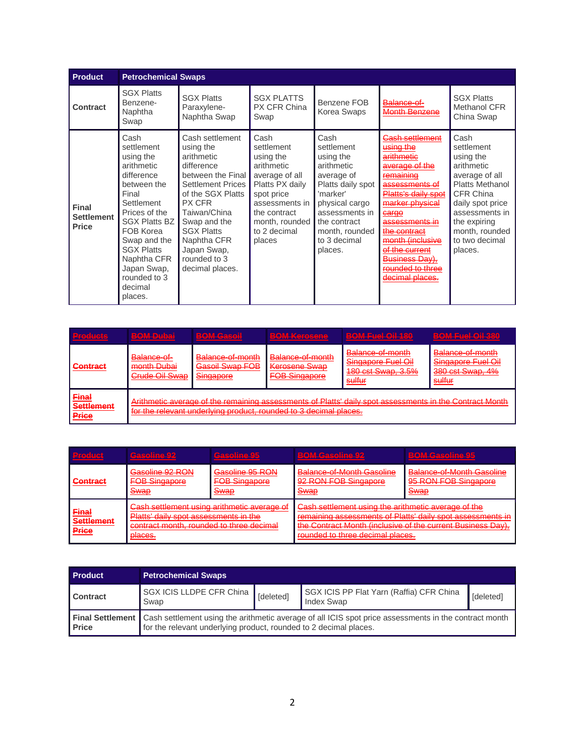| <b>Product</b>                                    |                                                                                                                                                                                                                                                                  | <b>Petrochemical Swaps</b>                                                                                                                                                                                                                                            |                                                                                                                                                                                |                                                                                                                                                                                               |                                                                                                                                                                                                                                                                                                                                                                                                                 |                                                                                                                                                                                                             |  |
|---------------------------------------------------|------------------------------------------------------------------------------------------------------------------------------------------------------------------------------------------------------------------------------------------------------------------|-----------------------------------------------------------------------------------------------------------------------------------------------------------------------------------------------------------------------------------------------------------------------|--------------------------------------------------------------------------------------------------------------------------------------------------------------------------------|-----------------------------------------------------------------------------------------------------------------------------------------------------------------------------------------------|-----------------------------------------------------------------------------------------------------------------------------------------------------------------------------------------------------------------------------------------------------------------------------------------------------------------------------------------------------------------------------------------------------------------|-------------------------------------------------------------------------------------------------------------------------------------------------------------------------------------------------------------|--|
| Contract                                          | <b>SGX Platts</b><br>Benzene-<br>Naphtha<br>Swap                                                                                                                                                                                                                 | <b>SGX Platts</b><br>Paraxylene-<br>Naphtha Swap                                                                                                                                                                                                                      | <b>SGX PLATTS</b><br>PX CFR China<br>Swap                                                                                                                                      | Benzene FOB<br>Korea Swaps                                                                                                                                                                    | <del>Balance-of-</del><br>Month Benzene                                                                                                                                                                                                                                                                                                                                                                         | <b>SGX Platts</b><br>Methanol CFR<br>China Swap                                                                                                                                                             |  |
| <b>Final</b><br><b>Settlement</b><br><b>Price</b> | Cash<br>settlement<br>using the<br>arithmetic<br>difference<br>between the<br>Final<br>Settlement<br>Prices of the<br><b>SGX Platts BZ</b><br>FOB Korea<br>Swap and the<br><b>SGX Platts</b><br>Naphtha CFR<br>Japan Swap,<br>rounded to 3<br>decimal<br>places. | Cash settlement<br>using the<br>arithmetic<br>difference<br>between the Final<br><b>Settlement Prices</b><br>of the SGX Platts<br><b>PX CFR</b><br>Taiwan/China<br>Swap and the<br><b>SGX Platts</b><br>Naphtha CFR<br>Japan Swap,<br>rounded to 3<br>decimal places. | Cash<br>settlement<br>using the<br>arithmetic<br>average of all<br>Platts PX daily<br>spot price<br>assessments in<br>the contract<br>month, rounded<br>to 2 decimal<br>places | Cash<br>settlement<br>using the<br>arithmetic<br>average of<br>Platts daily spot<br>'marker'<br>physical cargo<br>assessments in<br>the contract<br>month, rounded<br>to 3 decimal<br>places. | <del>Cash settlement</del><br><u>using the</u><br>arithmetic<br><del>average of the</del><br>remaining<br><del>assessments of</del><br>Platts's daily spot<br><del>marker physical</del><br><del>carqo</del><br><del>assessments in</del><br><del>the contract</del><br><del>month (inclusive</del><br>of the current<br><del>Business Dav).</del><br><del>ounded to three:</del><br><del>decimal places.</del> | Cash<br>settlement<br>using the<br>arithmetic<br>average of all<br><b>Platts Methanol</b><br>CFR China<br>daily spot price<br>assessments in<br>the expiring<br>month, rounded<br>to two decimal<br>places. |  |

| <b>Droducte</b><br>しかり はいしんてんてんてん スコ       | BOM Dubai<br>高于海洋美国 电离子电子系元素                                                                                                                                                 | <b>BOM Gaeoil</b><br><b>ATALIBATASTATAR</b>                             | <b>BOM Korosona</b><br><b>CATALLINANTER TATE RET</b>                                  | <b>BOM Fuel Oil 180</b><br>TATALIM MISSION TALMATAT                                                          | <b>BOM Fual Oil 380</b><br>TATAN MENSINGTAN MATATA                                       |
|--------------------------------------------|------------------------------------------------------------------------------------------------------------------------------------------------------------------------------|-------------------------------------------------------------------------|---------------------------------------------------------------------------------------|--------------------------------------------------------------------------------------------------------------|------------------------------------------------------------------------------------------|
| Contract                                   | <del>Balance of</del><br>month Dubai<br><del>montri Duba</del><br>≧ruda Ail Swan<br><del>oruuo oii owad</del>                                                                | Balance of month<br>Gasoil Swap FOB<br>Singanora<br><del>omuaporo</del> | Balance of month<br>Kerosene Swap<br><b>FOR Singapore</b><br><del>i vu omuaporo</del> | <del>Balance-of-month</del><br>Singapore Fuel Oil<br><b>180 cst Swap, 3.5%</b><br>endfor<br><del>ounur</del> | Balance-of-month<br>Singapore Fuel Oil<br>380 cst Swap, 4%<br>endfor<br><del>oumur</del> |
| <b>Final</b><br><b>Settlement</b><br>Price | Arithmetic average of the remaining assessments of Platts' daily spot assessments in the Contract Month<br>for the relevant underlying product, rounded to 3 decimal places. |                                                                         |                                                                                       |                                                                                                              |                                                                                          |

| <b>Product</b>                             | Gaeolina 02.<br><u>Exteremente</u>                                                                                                                           | Gaeolina 95<br><u>Elsielelinikerste</u>                | <b>BOM-Gasoline-92</b>                                                                  | <b>BOM-Gaseline 95</b>                                                                                                    |
|--------------------------------------------|--------------------------------------------------------------------------------------------------------------------------------------------------------------|--------------------------------------------------------|-----------------------------------------------------------------------------------------|---------------------------------------------------------------------------------------------------------------------------|
| <b>Contract</b>                            | Gasoline 92 RON<br><b>FOB Singapore</b><br>Swap                                                                                                              | Gasoline 95 RON<br><b>FOB Singapore</b><br><u>Swap</u> | Balance-of-Month Gasoline<br>92 RON FOB Singapore<br><b>Swap</b>                        | <b>Balance-of-Month Gasoline</b><br>95 RON FOB Singapore<br>Swan<br><u>owap</u>                                           |
| <b>Final</b><br><b>Settlement</b><br>Price | Cash settlement using arithmetic average of<br><b>Platts' daily spot assessments in the</b><br>contract month, rounded to three decimal<br>nlange<br>piuvvu. |                                                        | Cash settlement using the arithmetic average of the<br>rounded to three decimal places. | remaining assessments of Platts' daily spot assessments in<br>the Contract Month (inclusive of the current Business Day). |

| <b>Product</b>  | <b>Petrochemical Swaps</b>                                                                                                                                                                         |           |                                                        |           |
|-----------------|----------------------------------------------------------------------------------------------------------------------------------------------------------------------------------------------------|-----------|--------------------------------------------------------|-----------|
| <b>Contract</b> | SGX ICIS LLDPE CFR China<br>Swap                                                                                                                                                                   | [deleted] | SGX ICIS PP Flat Yarn (Raffia) CFR China<br>Index Swap | [deleted] |
| <b>Price</b>    | <b>Final Settlement</b> Cash settlement using the arithmetic average of all ICIS spot price assessments in the contract month<br>for the relevant underlying product, rounded to 2 decimal places. |           |                                                        |           |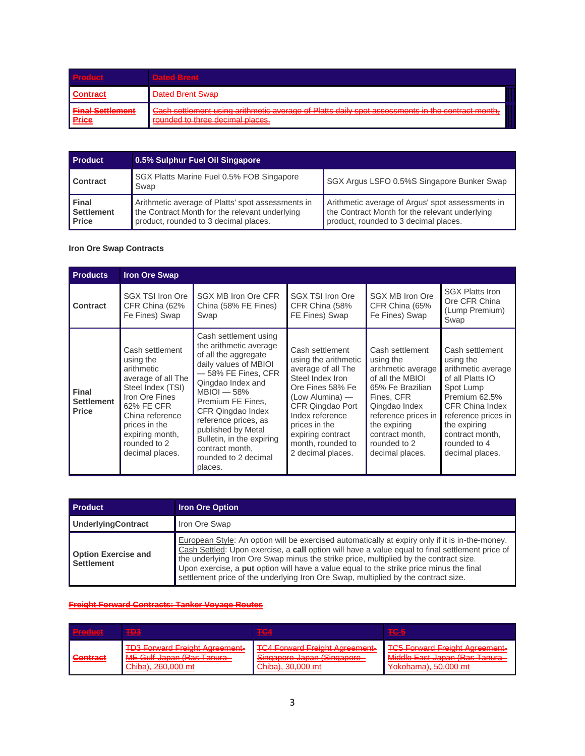| <b>Product</b>                          | Dated Bront<br>てんりんちかんり (物) アス はかえ はんが                                                                                                                                                                                                           |
|-----------------------------------------|--------------------------------------------------------------------------------------------------------------------------------------------------------------------------------------------------------------------------------------------------|
| <b>Contract</b>                         | Dated Brent Swap                                                                                                                                                                                                                                 |
| <b>Final Settlement</b><br><b>Price</b> | Cash settlement using arithmetic average of Platts daily spot assessments in the contract month<br><del>Odon oottioniont using antimiotic avoiago or Hatts Udily SDU dSSUSSNICHtS IN the CONTIGUENTUM,</del><br>rounded to three decimal places. |

| <b>Product</b>                             | 0.5% Sulphur Fuel Oil Singapore                                                                                                              |                                                                                                                                             |  |
|--------------------------------------------|----------------------------------------------------------------------------------------------------------------------------------------------|---------------------------------------------------------------------------------------------------------------------------------------------|--|
| Contract                                   | SGX Platts Marine Fuel 0.5% FOB Singapore<br>Swap                                                                                            | SGX Argus LSFO 0.5%S Singapore Bunker Swap                                                                                                  |  |
| Final<br><b>Settlement</b><br><b>Price</b> | Arithmetic average of Platts' spot assessments in<br>the Contract Month for the relevant underlying<br>product, rounded to 3 decimal places. | Arithmetic average of Argus' spot assessments in<br>the Contract Month for the relevant underlying<br>product, rounded to 3 decimal places. |  |

## **Iron Ore Swap Contracts**

| <b>Products</b>                            | <b>Iron Ore Swap</b>                                                                                                                                                                                            |                                                                                                                                                                                                                                                                                                                                          |                                                                                                                                                                                                                                                 |                                                                                                                                                                                                                        |                                                                                                                                                                                                                             |
|--------------------------------------------|-----------------------------------------------------------------------------------------------------------------------------------------------------------------------------------------------------------------|------------------------------------------------------------------------------------------------------------------------------------------------------------------------------------------------------------------------------------------------------------------------------------------------------------------------------------------|-------------------------------------------------------------------------------------------------------------------------------------------------------------------------------------------------------------------------------------------------|------------------------------------------------------------------------------------------------------------------------------------------------------------------------------------------------------------------------|-----------------------------------------------------------------------------------------------------------------------------------------------------------------------------------------------------------------------------|
| <b>Contract</b>                            | SGX TSI Iron Ore<br>CFR China (62%<br>Fe Fines) Swap                                                                                                                                                            | SGX MB Iron Ore CFR<br>China (58% FE Fines)<br>Swap                                                                                                                                                                                                                                                                                      | SGX TSI Iron Ore<br>CFR China (58%<br>FE Fines) Swap                                                                                                                                                                                            | SGX MB Iron Ore<br>CFR China (65%<br>Fe Fines) Swap                                                                                                                                                                    | <b>SGX Platts Iron</b><br>Ore CFR China<br>(Lump Premium)<br>Swap                                                                                                                                                           |
| Final<br><b>Settlement</b><br><b>Price</b> | Cash settlement<br>using the<br>arithmetic<br>average of all The<br>Steel Index (TSI)<br>Iron Ore Fines<br>62% FE CFR<br>China reference<br>prices in the<br>expiring month,<br>rounded to 2<br>decimal places. | Cash settlement using<br>the arithmetic average<br>of all the aggregate<br>daily values of MBIOI<br>- 58% FE Fines, CFR<br>Qingdao Index and<br>$MBIOI - 58%$<br>Premium FE Fines,<br>CFR Qingdao Index<br>reference prices, as<br>published by Metal<br>Bulletin, in the expiring<br>contract month,<br>rounded to 2 decimal<br>places. | Cash settlement<br>using the arithmetic<br>average of all The<br>Steel Index Iron<br>Ore Fines 58% Fe<br>(Low Alumina) —<br>CFR Qingdao Port<br>Index reference<br>prices in the<br>expiring contract<br>month, rounded to<br>2 decimal places. | Cash settlement<br>using the<br>arithmetic average<br>of all the MBIOI<br>65% Fe Brazilian<br>Fines, CFR<br>Qingdao Index<br>reference prices in<br>the expiring<br>contract month,<br>rounded to 2<br>decimal places. | Cash settlement<br>using the<br>arithmetic average<br>of all Platts IO<br>Spot Lump<br>Premium 62.5%<br><b>CFR China Index</b><br>reference prices in<br>the expiring<br>contract month,<br>rounded to 4<br>decimal places. |

| <b>Product</b>                                  | <b>Iron Ore Option</b>                                                                                                                                                                                                                                                                                                                                                                                                                                                       |
|-------------------------------------------------|------------------------------------------------------------------------------------------------------------------------------------------------------------------------------------------------------------------------------------------------------------------------------------------------------------------------------------------------------------------------------------------------------------------------------------------------------------------------------|
| <b>UnderlyingContract</b>                       | Iron Ore Swap                                                                                                                                                                                                                                                                                                                                                                                                                                                                |
| <b>Option Exercise and</b><br><b>Settlement</b> | European Style: An option will be exercised automatically at expiry only if it is in-the-money.<br>Cash Settled: Upon exercise, a call option will have a value equal to final settlement price of<br>the underlying Iron Ore Swap minus the strike price, multiplied by the contract size.<br>Upon exercise, a put option will have a value equal to the strike price minus the final<br>settlement price of the underlying Iron Ore Swap, multiplied by the contract size. |

#### **Freight Forward Contracts: Tanker Voyage Routes**

| <b>Product</b>  | TD3                                        | TC4                                   | <b>TG-5</b>                             |
|-----------------|--------------------------------------------|---------------------------------------|-----------------------------------------|
| <b>Contract</b> | <b>TD3 Forward Freight Agreement-</b>      | <b>TCA Forward Freight Agreement-</b> | <b>TC5 Forward Freight Agreement-</b>   |
|                 | <del>1 DJ 1 UNIXIU 1 TOKIN AUTOONOM!</del> | <del>TOTTOMaru Holdhi Adroomoni</del> | <del>TOO FURWARD FRONTH AGROOMONI</del> |
|                 | ME Gulf-Japan (Ras Tanura -                | Singapore-Japan (Singapore -          | Middle East-Japan (Ras Tanura -         |
|                 | $\mathsf{Chih}_2$ ) 280.000 mt             | $Chihol$ 20.000 mt                    | Vokohama) 50.000 mt                     |
|                 | $U$ iliyu $U$ , $UU$ vivvv iiit            | <u>UTHUMI, UUTUU TIIL</u>             | <del>i ukunaman, Juliuwi mi</del>       |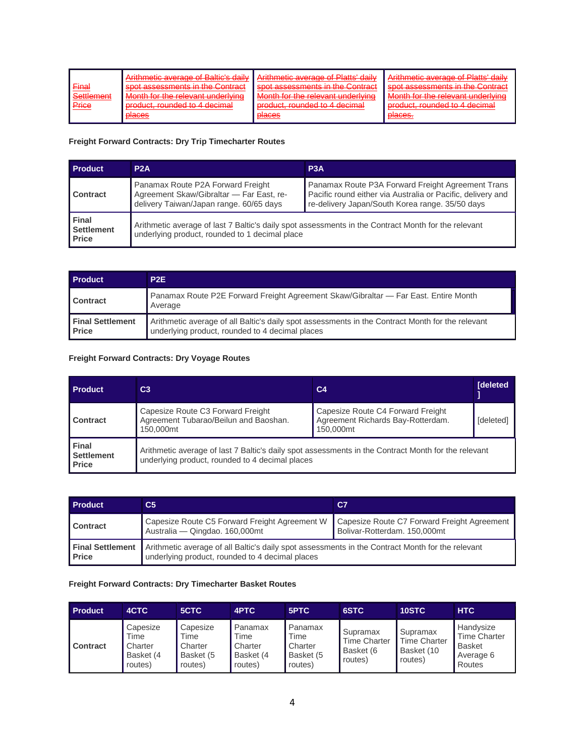| <u>Final</u><br>Settlement<br>Price | Arithmotic average of Ralticle daily Arithmotic average of Platte' daily<br>spot accordements in the Contract<br>Month for the relevant underlying<br>product rounded to 4 decimal | enot accordenante in the Contract<br>Month for the relevant underlying<br>product rounded to 4 decimal | Arithmatic average of Platte' daily<br><del>Ammonto avoiago or Fiano</del><br>enot accordenante in the Contract<br>Month for the relevant underlying<br>product rounded to 4 decimal |
|-------------------------------------|------------------------------------------------------------------------------------------------------------------------------------------------------------------------------------|--------------------------------------------------------------------------------------------------------|--------------------------------------------------------------------------------------------------------------------------------------------------------------------------------------|
|                                     | <b>D</b> aces                                                                                                                                                                      | <b>D</b> aces                                                                                          | places.                                                                                                                                                                              |

## **Freight Forward Contracts: Dry Trip Timecharter Routes**

| <b>Product</b>                                    | P2A                                                                                                                                                   | P3A                                                                                                                                                                 |  |  |
|---------------------------------------------------|-------------------------------------------------------------------------------------------------------------------------------------------------------|---------------------------------------------------------------------------------------------------------------------------------------------------------------------|--|--|
| <b>Contract</b>                                   | Panamax Route P2A Forward Freight<br>Agreement Skaw/Gibraltar - Far East, re-<br>delivery Taiwan/Japan range. 60/65 days                              | Panamax Route P3A Forward Freight Agreement Trans<br>Pacific round either via Australia or Pacific, delivery and<br>re-delivery Japan/South Korea range. 35/50 days |  |  |
| <b>Final</b><br><b>Settlement</b><br><b>Price</b> | Arithmetic average of last 7 Baltic's daily spot assessments in the Contract Month for the relevant<br>underlying product, rounded to 1 decimal place |                                                                                                                                                                     |  |  |

| <b>Product</b>                          | P <sub>2</sub> E                                                                                                                                    |
|-----------------------------------------|-----------------------------------------------------------------------------------------------------------------------------------------------------|
| <b>Contract</b>                         | Panamax Route P2E Forward Freight Agreement Skaw/Gibraltar - Far East. Entire Month<br>Average                                                      |
| <b>Final Settlement</b><br><b>Price</b> | Arithmetic average of all Baltic's daily spot assessments in the Contract Month for the relevant<br>underlying product, rounded to 4 decimal places |

## **Freight Forward Contracts: Dry Voyage Routes**

| <b>Product</b>                                    | C <sub>3</sub>                                                                                                                                         | C <sub>4</sub>                                                                      | <b>I</b> deleted |  |  |  |
|---------------------------------------------------|--------------------------------------------------------------------------------------------------------------------------------------------------------|-------------------------------------------------------------------------------------|------------------|--|--|--|
| Contract                                          | Capesize Route C3 Forward Freight<br>Agreement Tubarao/Beilun and Baoshan.<br>150,000mt                                                                | Capesize Route C4 Forward Freight<br>Agreement Richards Bay-Rotterdam.<br>150,000mt | <b>Ideletedl</b> |  |  |  |
| <b>Final</b><br><b>Settlement</b><br><b>Price</b> | Arithmetic average of last 7 Baltic's daily spot assessments in the Contract Month for the relevant<br>underlying product, rounded to 4 decimal places |                                                                                     |                  |  |  |  |

| <b>Product</b>                          | C5                                                                                                                                                  | C7                                                                          |  |  |
|-----------------------------------------|-----------------------------------------------------------------------------------------------------------------------------------------------------|-----------------------------------------------------------------------------|--|--|
| Contract                                | Capesize Route C5 Forward Freight Agreement W<br>Australia - Qingdao. 160,000mt                                                                     | Capesize Route C7 Forward Freight Agreement<br>Bolivar-Rotterdam. 150,000mt |  |  |
| <b>Final Settlement</b><br><b>Price</b> | Arithmetic average of all Baltic's daily spot assessments in the Contract Month for the relevant<br>underlying product, rounded to 4 decimal places |                                                                             |  |  |

## **Freight Forward Contracts: Dry Timecharter Basket Routes**

| <b>Product</b>  | 4CTC                                                | 5CTC                                                | 4PTC                                               | 5PTC                                               | 6STC                                             | 10STC                                                    | <b>HTC</b>                                                        |
|-----------------|-----------------------------------------------------|-----------------------------------------------------|----------------------------------------------------|----------------------------------------------------|--------------------------------------------------|----------------------------------------------------------|-------------------------------------------------------------------|
| <b>Contract</b> | Capesize<br>Time<br>Charter<br>Basket (4<br>routes) | Capesize<br>Time<br>Charter<br>Basket (5<br>routes) | Panamax<br>Time<br>Charter<br>Basket (4<br>routes) | Panamax<br>Time<br>Charter<br>Basket (5<br>routes) | Supramax<br>Time Charter<br>Basket (6<br>routes) | Supramax<br><b>Time Charter</b><br>Basket (10<br>routes) | Handysize<br><b>Time Charter</b><br>Basket<br>Average 6<br>Routes |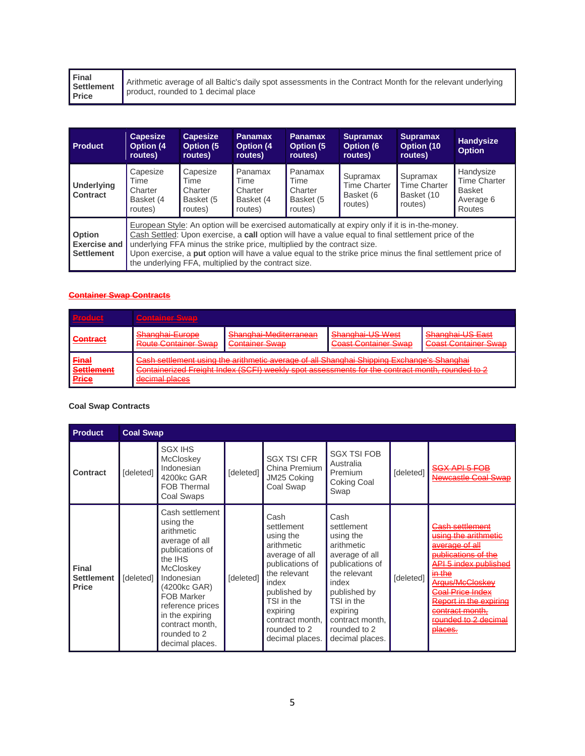| Final<br><b>Settlement</b><br><b>Price</b> | Arithmetic average of all Baltic's daily spot assessments in the Contract Month for the relevant underlying<br>product, rounded to 1 decimal place |
|--------------------------------------------|----------------------------------------------------------------------------------------------------------------------------------------------------|
|--------------------------------------------|----------------------------------------------------------------------------------------------------------------------------------------------------|

| <b>Product</b>                                     | <b>Capesize</b><br><b>Option (4)</b><br>routes)                                                                                                                                                                                                                                                                                                                                                                                                          | <b>Capesize</b><br>Option (5)<br>routes)            | <b>Panamax</b><br><b>Option (4)</b><br>routes)     | <b>Panamax</b><br><b>Option (5)</b><br>routes)     | <b>Supramax</b><br>Option (6<br>routes)                 | <b>Supramax</b><br>Option (10<br>routes)                 | Handysize<br><b>Option</b>                                               |
|----------------------------------------------------|----------------------------------------------------------------------------------------------------------------------------------------------------------------------------------------------------------------------------------------------------------------------------------------------------------------------------------------------------------------------------------------------------------------------------------------------------------|-----------------------------------------------------|----------------------------------------------------|----------------------------------------------------|---------------------------------------------------------|----------------------------------------------------------|--------------------------------------------------------------------------|
| Underlying<br><b>Contract</b>                      | Capesize<br>Time<br>Charter<br>Basket (4<br>routes)                                                                                                                                                                                                                                                                                                                                                                                                      | Capesize<br>Time<br>Charter<br>Basket (5<br>routes) | Panamax<br>Time<br>Charter<br>Basket (4<br>routes) | Panamax<br>Time<br>Charter<br>Basket (5<br>routes) | Supramax<br><b>Time Charter</b><br>Basket (6<br>routes) | Supramax<br><b>Time Charter</b><br>Basket (10<br>routes) | Handysize<br><b>Time Charter</b><br><b>Basket</b><br>Average 6<br>Routes |
| Option<br><b>Exercise and</b><br><b>Settlement</b> | European Style: An option will be exercised automatically at expiry only if it is in-the-money.<br>Cash Settled: Upon exercise, a call option will have a value equal to final settlement price of the<br>underlying FFA minus the strike price, multiplied by the contract size.<br>Upon exercise, a put option will have a value equal to the strike price minus the final settlement price of<br>the underlying FFA, multiplied by the contract size. |                                                     |                                                    |                                                    |                                                         |                                                          |                                                                          |

#### **Container Swap Contracts**

| <b>Product</b>                             | <b>Container Suran</b><br>stantan bin shiri a                                                                                                                                                                                                                                                                                                             |                                                 |                                          |                                                 |  |  |
|--------------------------------------------|-----------------------------------------------------------------------------------------------------------------------------------------------------------------------------------------------------------------------------------------------------------------------------------------------------------------------------------------------------------|-------------------------------------------------|------------------------------------------|-------------------------------------------------|--|--|
| <b>Contract</b>                            | Shanghai-Europe<br><b>Route Container Swap</b>                                                                                                                                                                                                                                                                                                            | Shanghai-Mediterranean<br><b>Container Swap</b> | Shanghai-US West<br>Coast Container Swap | Shanghai-US East<br><b>Coast Container Swap</b> |  |  |
| <b>Final</b><br><b>Settlement</b><br>Price | Cash settlement using the arithmetic average of all Shanghai Shipping Exchange's Shanghai<br>Containerized Freight Index (SCEI) weekly and assessments for the contract month, rounded to 2<br><del>ountainonzou i Toight muox (John) woonly spot assossinonts for the contract muniti, founded to z</del><br>dacimal placas<br><del>uoomnar piaooo</del> |                                                 |                                          |                                                 |  |  |

## **Coal Swap Contracts**

| <b>Product</b>                                    |           | <b>Coal Swap</b>                                                                                                                                                                                                                                               |           |                                                                                                                                                                                                             |                                                                                                                                                                                                             |           |                                                                                                                                                                                                                                                                                                                     |  |
|---------------------------------------------------|-----------|----------------------------------------------------------------------------------------------------------------------------------------------------------------------------------------------------------------------------------------------------------------|-----------|-------------------------------------------------------------------------------------------------------------------------------------------------------------------------------------------------------------|-------------------------------------------------------------------------------------------------------------------------------------------------------------------------------------------------------------|-----------|---------------------------------------------------------------------------------------------------------------------------------------------------------------------------------------------------------------------------------------------------------------------------------------------------------------------|--|
| <b>Contract</b>                                   | [deleted] | <b>SGX IHS</b><br><b>McCloskey</b><br>Indonesian<br>4200kc GAR<br><b>FOB Thermal</b><br>Coal Swaps                                                                                                                                                             | [deleted] | <b>SGX TSI CFR</b><br>China Premium<br>JM25 Coking<br>Coal Swap                                                                                                                                             | <b>SGX TSI FOB</b><br>Australia<br>Premium<br><b>Coking Coal</b><br>Swap                                                                                                                                    | [deleted] | <del>SGX API 5 FOB</del><br>Newcastle Coal Swap                                                                                                                                                                                                                                                                     |  |
| <b>Final</b><br><b>Settlement</b><br><b>Price</b> | [deleted] | Cash settlement<br>using the<br>arithmetic<br>average of all<br>publications of<br>the IHS<br><b>McCloskey</b><br>Indonesian<br>(4200kc GAR)<br><b>FOB Marker</b><br>reference prices<br>in the expiring<br>contract month,<br>rounded to 2<br>decimal places. | [deleted] | Cash<br>settlement<br>using the<br>arithmetic<br>average of all<br>publications of<br>the relevant<br>index<br>published by<br>TSI in the<br>expiring<br>contract month,<br>rounded to 2<br>decimal places. | Cash<br>settlement<br>using the<br>arithmetic<br>average of all<br>publications of<br>the relevant<br>index<br>published by<br>TSI in the<br>expiring<br>contract month,<br>rounded to 2<br>decimal places. | [deleted] | <del>Cash settlement</del><br><u>using the arithmetic</u><br><del>average of all</del><br>publications of the<br><del>API 5 index published</del><br>in the<br>Argus/McCloskey<br>Coal Price Index<br><del>Report in the expiring</del><br><del>contract month.</del><br>rounded to 2 decimal<br><del>places.</del> |  |